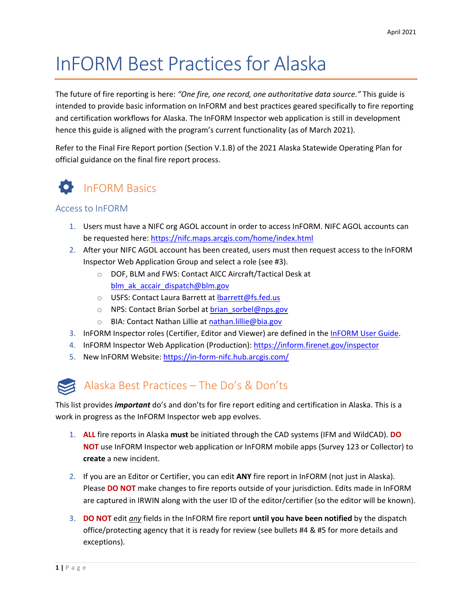# InFORM Best Practices for Alaska

The future of fire reporting is here: *"One fire, one record, one authoritative data source."* This guide is intended to provide basic information on InFORM and best practices geared specifically to fire reporting and certification workflows for Alaska. The InFORM Inspector web application is still in development hence this guide is aligned with the program's current functionality (as of March 2021).

Refer to the Final Fire Report portion (Section V.1.B) of the 2021 Alaska Statewide Operating Plan for official guidance on the final fire report process.



#### Access to InFORM

- 1. Users must have a NIFC org AGOL account in order to access InFORM. NIFC AGOL accounts can be requested here:<https://nifc.maps.arcgis.com/home/index.html>
- 2. After your NIFC AGOL account has been created, users must then request access to the InFORM Inspector Web Application Group and select a role (see #3).
	- o DOF, BLM and FWS: Contact AICC Aircraft/Tactical Desk at [blm\\_ak\\_accair\\_dispatch@blm.gov](mailto:blm_ak_accair_dispatch@blm.gov)
	- o USFS: Contact Laura Barrett at Ibarrett@fs.fed.us
	- o NPS: Contact Brian Sorbel at brian sorbel@nps.gov
	- o BIA: Contact Nathan Lillie at [nathan.lillie@bia.gov](mailto:nathan.lillie@bia.gov)
- 3. InFORM Inspector roles (Certifier, Editor and Viewer) are defined in the [InFORM User Guide.](https://in-form-nifc.hub.arcgis.com/pages/in-form-user-guide)
- 4. InFORM Inspector Web Application (Production): <https://inform.firenet.gov/inspector>
- 5. New InFORM Website:<https://in-form-nifc.hub.arcgis.com/>

### Alaska Best Practices – The Do's & Don'ts

This list provides *important* do's and don'ts for fire report editing and certification in Alaska. This is a work in progress as the InFORM Inspector web app evolves.

- 1. **ALL** fire reports in Alaska **must** be initiated through the CAD systems (IFM and WildCAD). **DO NOT** use InFORM Inspector web application or InFORM mobile apps (Survey 123 or Collector) to **create** a new incident.
- 2. If you are an Editor or Certifier, you can edit **ANY** fire report in InFORM (not just in Alaska). Please **DO NOT** make changes to fire reports outside of your jurisdiction. Edits made in InFORM are captured in IRWIN along with the user ID of the editor/certifier (so the editor will be known).
- 3. **DO NOT** edit *any* fields in the InFORM fire report **until you have been notified** by the dispatch office/protecting agency that it is ready for review (see bullets #4 & #5 for more details and exceptions).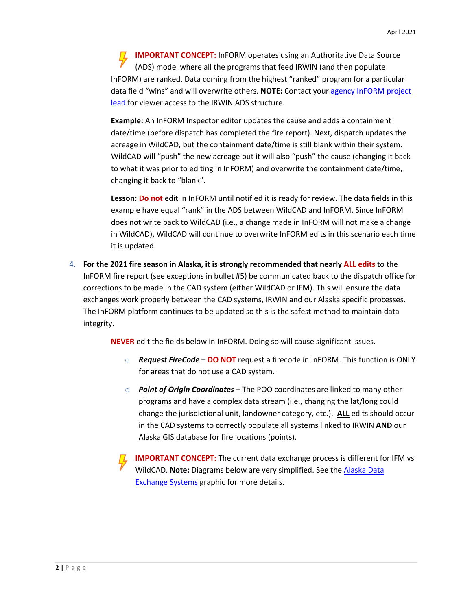**IMPORTANT CONCEPT:** InFORM operates using an Authoritative Data Source (ADS) model where all the programs that feed IRWIN (and then populate InFORM) are ranked. Data coming from the highest "ranked" program for a particular data field "wins" and will overwrite others. **NOTE:** Contact your [agency InFORM project](https://in-form-nifc.hub.arcgis.com/pages/in-form-contacts)  [lead](https://in-form-nifc.hub.arcgis.com/pages/in-form-contacts) for viewer access to the IRWIN ADS structure.

**Example:** An InFORM Inspector editor updates the cause and adds a containment date/time (before dispatch has completed the fire report). Next, dispatch updates the acreage in WildCAD, but the containment date/time is still blank within their system. WildCAD will "push" the new acreage but it will also "push" the cause (changing it back to what it was prior to editing in InFORM) and overwrite the containment date/time, changing it back to "blank".

**Lesson: Do not** edit in InFORM until notified it is ready for review. The data fields in this example have equal "rank" in the ADS between WildCAD and InFORM. Since InFORM does not write back to WildCAD (i.e., a change made in InFORM will not make a change in WildCAD), WildCAD will continue to overwrite InFORM edits in this scenario each time it is updated.

4. **For the 2021 fire season in Alaska, it is strongly recommended that nearly ALL edits** to the InFORM fire report (see exceptions in bullet #5) be communicated back to the dispatch office for corrections to be made in the CAD system (either WildCAD or IFM). This will ensure the data exchanges work properly between the CAD systems, IRWIN and our Alaska specific processes. The InFORM platform continues to be updated so this is the safest method to maintain data integrity.

**NEVER** edit the fields below in InFORM. Doing so will cause significant issues.

- o *Request FireCode* **DO NOT** request a firecode in InFORM. This function is ONLY for areas that do not use a CAD system.
- o *Point of Origin Coordinates* The POO coordinates are linked to many other programs and have a complex data stream (i.e., changing the lat/long could change the jurisdictional unit, landowner category, etc.). **ALL** edits should occur in the CAD systems to correctly populate all systems linked to IRWIN **AND** our Alaska GIS database for fire locations (points).
- **IMPORTANT CONCEPT:** The current data exchange process is different for IFM vs WildCAD. **Note:** Diagrams below are very simplified. See the [Alaska Data](#page-7-0)  [Exchange Systems](#page-7-0) graphic for more details.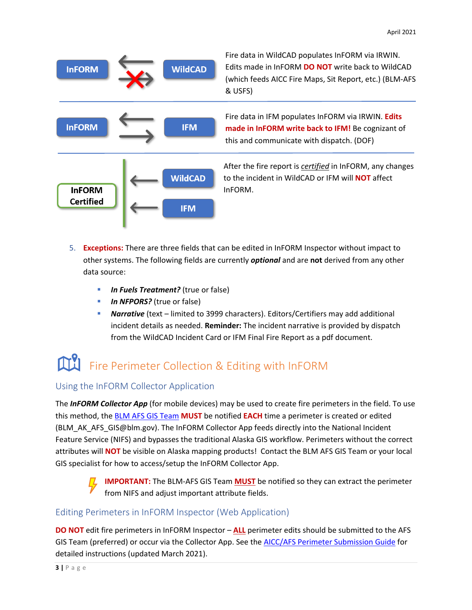

- 5. **Exceptions:** There are three fields that can be edited in InFORM Inspector without impact to other systems. The following fields are currently *optional* and are **not** derived from any other data source:
	- **In Fuels Treatment?** (true or false)
	- **In NFPORS?** (true or false)
	- **Narrative** (text limited to 3999 characters). Editors/Certifiers may add additional incident details as needed. **Reminder:** The incident narrative is provided by dispatch from the WildCAD Incident Card or IFM Final Fire Report as a pdf document.

# Fire Perimeter Collection & Editing with InFORM

#### Using the InFORM Collector Application

The *InFORM Collector App* (for mobile devices) may be used to create fire perimeters in the field. To use this method, th[e BLM AFS GIS Team](mailto:BLM_AK_AFS_GIS@blm.gov) **MUST** be notified **EACH** time a perimeter is created or edited (BLM\_AK\_AFS\_GIS@blm.gov). The InFORM Collector App feeds directly into the National Incident Feature Service (NIFS) and bypasses the traditional Alaska GIS workflow. Perimeters without the correct attributes will **NOT** be visible on Alaska mapping products! Contact the BLM AFS GIS Team or your local GIS specialist for how to access/setup the InFORM Collector App.



**IMPORTANT:** The BLM-AFS GIS Team **MUST** be notified so they can extract the perimeter from NIFS and adjust important attribute fields.

#### Editing Perimeters in InFORM Inspector (Web Application)

**DO NOT** edit fire perimeters in InFORM Inspector – **ALL** perimeter edits should be submitted to the AFS GIS Team (preferred) or occur via the Collector App. See the [AICC/AFS Perimeter Submission Guide](https://fire.ak.blm.gov/content/maps/aicc/User%20Guides/Alaska%20Wildland%20Fire%20Perimeter%20Submission%20Guide.pdf) for detailed instructions (updated March 2021).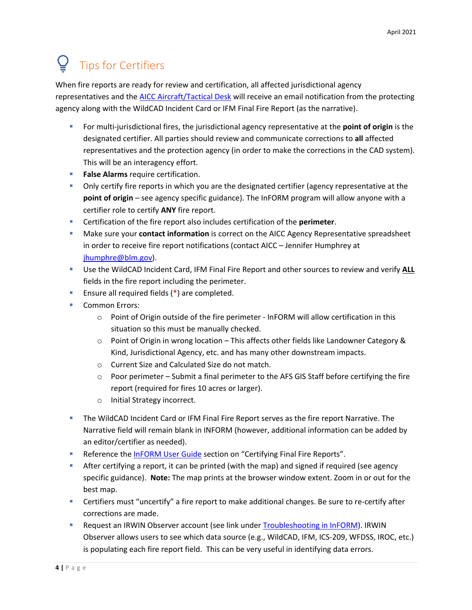# Tips for Certifiers

When fire reports are ready for review and certification, all affected jurisdictional agency representatives and the [AICC Aircraft/Tactical Desk](mailto:blm_ak_accair_dispatch@blm.gov) will receive an email notification from the protecting agency along with the WildCAD Incident Card or IFM Final Fire Report (as the narrative).

- **For multi-jurisdictional fires, the jurisdictional agency representative at the point of origin is the** designated certifier. All parties should review and communicate corrections to **all** affected representatives and the protection agency (in order to make the corrections in the CAD system). This will be an interagency effort.
- **False Alarms** require certification.
- **Dia Conly certify fire reports in which you are the designated certifier (agency representative at the point of origin** – see agency specific guidance). The InFORM program will allow anyone with a certifier role to certify **ANY** fire report.
- Certification of the fire report also includes certification of the **perimeter**.
- Make sure your **contact information** is correct on the AICC Agency Representative spreadsheet in order to receive fire report notifications (contact AICC – Jennifer Humphrey at [jhumphre@blm.gov\)](mailto:jhumphre@blm.gov).
- Use the WildCAD Incident Card, IFM Final Fire Report and other sources to review and verify **ALL** fields in the fire report including the perimeter.
- **Ensure all required fields (\*) are completed.**
- Common Errors:
	- o Point of Origin outside of the fire perimeter InFORM will allow certification in this situation so this must be manually checked.
	- $\circ$  Point of Origin in wrong location This affects other fields like Landowner Category & Kind, Jurisdictional Agency, etc. and has many other downstream impacts.
	- o Current Size and Calculated Size do not match.
	- $\circ$  Poor perimeter Submit a final perimeter to the AFS GIS Staff before certifying the fire report (required for fires 10 acres or larger).
	- o Initial Strategy incorrect.
- The WildCAD Incident Card or IFM Final Fire Report serves as the fire report Narrative. The Narrative field will remain blank in INFORM (however, additional information can be added by an editor/certifier as needed).
- **Reference the [InFORM User Guide](https://in-form-nifc.hub.arcgis.com/pages/in-form-user-guide) section on "Certifying Final Fire Reports".**
- After certifying a report, it can be printed (with the map) and signed if required (see agency specific guidance). **Note:** The map prints at the browser window extent. Zoom in or out for the best map.
- **EXECO FIGUREY 1.1 CONTEGO FIGUREY 1** Certifiers must be sure to re-certify after corrections are made.
- **Request an IRWIN Observer account (see link under [Troubleshooting in InFORM\)](#page-8-0). IRWIN** Observer allows users to see which data source (e.g., WildCAD, IFM, ICS-209, WFDSS, IROC, etc.) is populating each fire report field. This can be very useful in identifying data errors.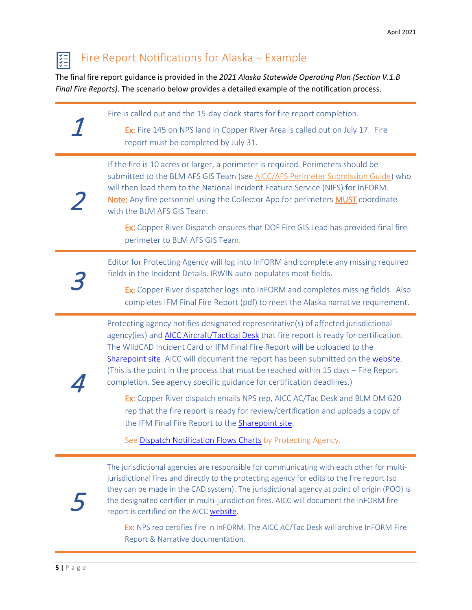### Fire Report Notifications for Alaska – Example

The final fire report guidance is provided in the *2021 Alaska Statewide Operating Plan (Section V.1.B Final Fire Reports)*. The scenario below provides a detailed example of the notification process.

1 Fire is called out and the 15-day clock starts for fire report completion. Ex: Fire 145 on NPS land in Copper River Area is called out on July 17. Fire report must be completed by July 31. 2 If the fire is 10 acres or larger, a perimeter is required. Perimeters should be submitted to the BLM AFS GIS Team (see [AICC/AFS Perimeter Submission Guide\)](https://fire.ak.blm.gov/content/maps/aicc/User%20Guides/Alaska%20Wildland%20Fire%20Perimeter%20Submission%20Guide.pdf) who will then load them to the National Incident Feature Service (NIFS) for InFORM. Note: Any fire personnel using the Collector App for perimeters MUST coordinate with the BLM AFS GIS Team. Ex: Copper River Dispatch ensures that DOF Fire GIS Lead has provided final fire perimeter to BLM AFS GIS Team. 3 Editor for Protecting Agency will log into InFORM and complete any missing required fields in the Incident Details. IRWIN auto-populates most fields. Ex: Copper River dispatcher logs into InFORM and completes missing fields. Also completes IFM Final Fire Report (pdf) to meet the Alaska narrative requirement.

> Protecting agency notifies designated representative(s) of affected jurisdictional agency(ies) an[d AICC Aircraft/Tactical Desk](mailto:blm_ak_accair_dispatch@blm.gov) that fire report is ready for certification. The WildCAD Incident Card or IFM Final Fire Report will be uploaded to the [Sharepoint site.](https://doimspp.sharepoint.com/sites/ext-blm-ak/aicc/SitePages/InFORM---Interagency-Fire-Occurrence-Reporting-Modules.aspx) AICC will document the report has been submitted on the [website.](https://fire.ak.blm.gov/predsvcs/akfirerpt.php?yr=2021) (This is the point in the process that must be reached within 15 days – Fire Report completion. See agency specific guidance for certification deadlines.)

Ex: Copper River dispatch emails NPS rep, AICC AC/Tac Desk and BLM DM 620 rep that the fire report is ready for review/certification and uploads a copy of the IFM Final Fire Report to the **Sharepoint site**.

See [Dispatch Notification Flows Charts](#page-5-0) by Protecting Agency.



4

隕

The jurisdictional agencies are responsible for communicating with each other for multijurisdictional fires and directly to the protecting agency for edits to the fire report (so they can be made in the CAD system). The jurisdictional agency at point of origin (POO) is the designated certifier in multi-jurisdiction fires. AICC will document the InFORM fire report is certified on the AICC [website.](https://fire.ak.blm.gov/predsvcs/akfirerpt.php?yr=2021)

Ex: NPS rep certifies fire in InFORM. The AICC AC/Tac Desk will archive InFORM Fire Report & Narrative documentation.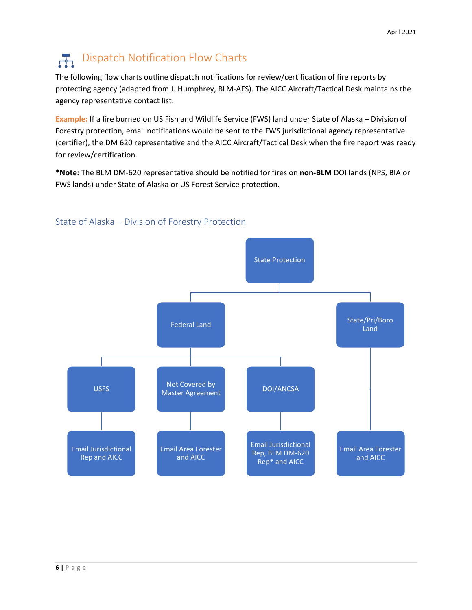# Dispatch Notification Flow Charts

<span id="page-5-0"></span>The following flow charts outline dispatch notifications for review/certification of fire reports by protecting agency (adapted from J. Humphrey, BLM-AFS). The AICC Aircraft/Tactical Desk maintains the agency representative contact list.

**Example:** If a fire burned on US Fish and Wildlife Service (FWS) land under State of Alaska – Division of Forestry protection, email notifications would be sent to the FWS jurisdictional agency representative (certifier), the DM 620 representative and the AICC Aircraft/Tactical Desk when the fire report was ready for review/certification.

**\*Note:** The BLM DM-620 representative should be notified for fires on **non-BLM** DOI lands (NPS, BIA or FWS lands) under State of Alaska or US Forest Service protection.



#### State of Alaska – Division of Forestry Protection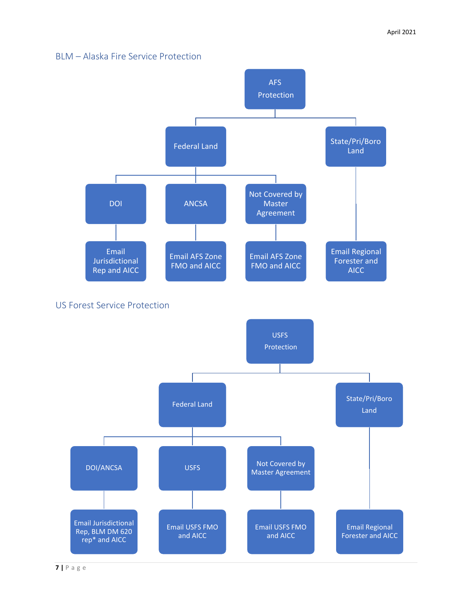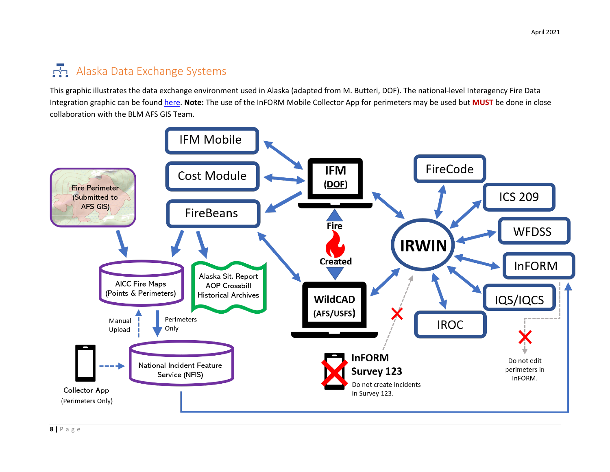## Alaska Data Exchange Systems

This graphic illustrates the data exchange environment used in Alaska (adapted from M. Butteri, DOF). The national-level Interagency Fire Data Integration graphic can be found [here.](https://in-form-nifc.hub.arcgis.com/pages/in-form-applications) **Note:** The use of the InFORM Mobile Collector App for perimeters may be used but **MUST** be done in close collaboration with the BLM AFS GIS Team.

<span id="page-7-0"></span>